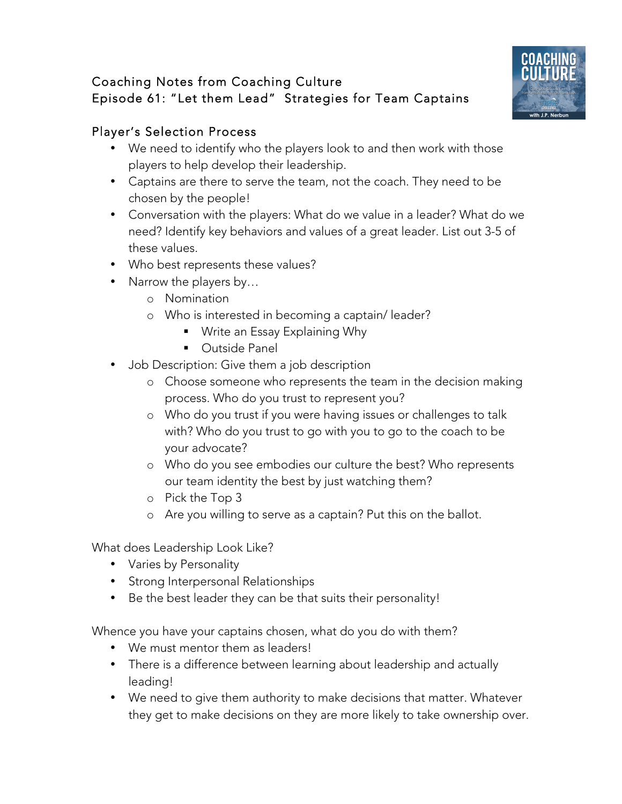## Coaching Notes from Coaching Culture Episode 61: "Let them Lead" Strategies for Team Captains



## Player's Selection Process

- We need to identify who the players look to and then work with those players to help develop their leadership.
- Captains are there to serve the team, not the coach. They need to be chosen by the people!
- Conversation with the players: What do we value in a leader? What do we need? Identify key behaviors and values of a great leader. List out 3-5 of these values.
- Who best represents these values?
- Narrow the players by...
	- o Nomination
	- o Who is interested in becoming a captain/ leader?
		- Write an Essay Explaining Why
		- Outside Panel
- Job Description: Give them a job description
	- o Choose someone who represents the team in the decision making process. Who do you trust to represent you?
	- o Who do you trust if you were having issues or challenges to talk with? Who do you trust to go with you to go to the coach to be your advocate?
	- o Who do you see embodies our culture the best? Who represents our team identity the best by just watching them?
	- o Pick the Top 3
	- o Are you willing to serve as a captain? Put this on the ballot.

What does Leadership Look Like?

- Varies by Personality
- Strong Interpersonal Relationships
- Be the best leader they can be that suits their personality!

Whence you have your captains chosen, what do you do with them?

- We must mentor them as leaders!
- There is a difference between learning about leadership and actually leading!
- We need to give them authority to make decisions that matter. Whatever they get to make decisions on they are more likely to take ownership over.